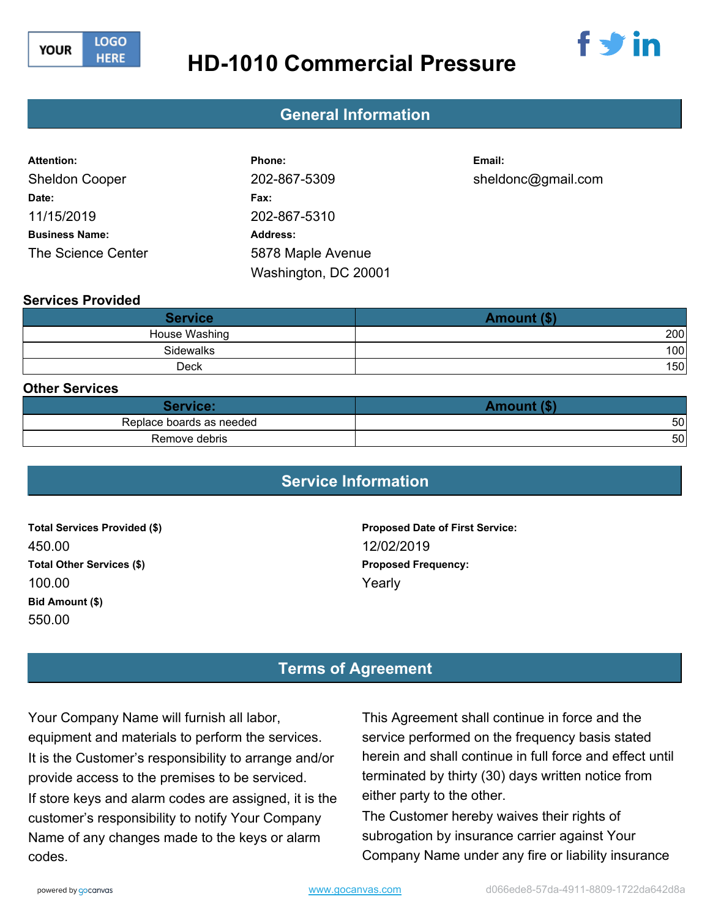

# **HD-1010 Commercial Pressure**



### **Washing Service Agreement - Value Printing General Information**

| <b>Attention:</b>     | Phone:               | Email:             |
|-----------------------|----------------------|--------------------|
| <b>Sheldon Cooper</b> | 202-867-5309         | sheldonc@gmail.com |
| Date:                 | Fax:                 |                    |
| 11/15/2019            | 202-867-5310         |                    |
| <b>Business Name:</b> | <b>Address:</b>      |                    |
| The Science Center    | 5878 Maple Avenue    |                    |
|                       | Washington, DC 20001 |                    |

#### **Services Provided**

| <b>Service</b>   | Amount (\$) |
|------------------|-------------|
| House Washing    | 200         |
| <b>Sidewalks</b> | 100         |
| Deck             | 150         |

#### **Other Services**

| Service:                 | ∆m∩ւյոք <i>(</i> \$՝ |
|--------------------------|----------------------|
| Replace boards as needed | 50                   |
| Remove debris            | 50                   |

### **Service Information**

**Total Services Provided (\$)** 450.00 **Total Other Services (\$)** 100.00 **Bid Amount (\$)** 550.00

**Proposed Date of First Service:** 12/02/2019 **Proposed Frequency:** Yearly

## **Terms of Agreement**

Your Company Name will furnish all labor, equipment and materials to perform the services. It is the Customer's responsibility to arrange and/or provide access to the premises to be serviced. If store keys and alarm codes are assigned, it is the customer's responsibility to notify Your Company Name of any changes made to the keys or alarm codes.

This Agreement shall continue in force and the service performed on the frequency basis stated herein and shall continue in full force and effect until terminated by thirty (30) days written notice from either party to the other.

The Customer hereby waives their rights of subrogation by insurance carrier against Your Company Name under any fire or liability insurance